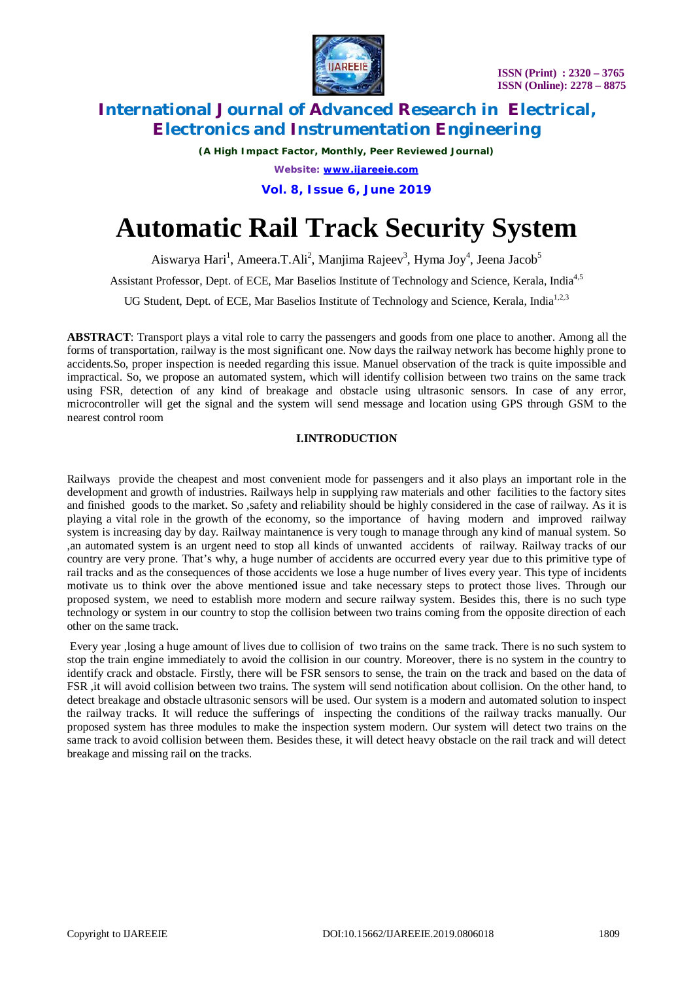

*(A High Impact Factor, Monthly, Peer Reviewed Journal)*

*Website: [www.ijareeie.com](http://www.ijareeie.com)*

**Vol. 8, Issue 6, June 2019**

# **Automatic Rail Track Security System**

Aiswarya Hari<sup>1</sup>, Ameera.T.Ali<sup>2</sup>, Manjima Rajeev<sup>3</sup>, Hyma Joy<sup>4</sup>, Jeena Jacob<sup>5</sup>

Assistant Professor, Dept. of ECE, Mar Baselios Institute of Technology and Science, Kerala, India<sup>4,5</sup>

UG Student, Dept. of ECE, Mar Baselios Institute of Technology and Science, Kerala, India<sup>1,2,3</sup>

**ABSTRACT**: Transport plays a vital role to carry the passengers and goods from one place to another. Among all the forms of transportation, railway is the most significant one. Now days the railway network has become highly prone to accidents.So, proper inspection is needed regarding this issue. Manuel observation of the track is quite impossible and impractical. So, we propose an automated system, which will identify collision between two trains on the same track using FSR, detection of any kind of breakage and obstacle using ultrasonic sensors. In case of any error, microcontroller will get the signal and the system will send message and location using GPS through GSM to the nearest control room

### **I.INTRODUCTION**

Railways provide the cheapest and most convenient mode for passengers and it also plays an important role in the development and growth of industries. Railways help in supplying raw materials and other facilities to the factory sites and finished goods to the market. So ,safety and reliability should be highly considered in the case of railway. As it is playing a vital role in the growth of the economy, so the importance of having modern and improved railway system is increasing day by day. Railway maintanence is very tough to manage through any kind of manual system. So ,an automated system is an urgent need to stop all kinds of unwanted accidents of railway. Railway tracks of our country are very prone. That's why, a huge number of accidents are occurred every year due to this primitive type of rail tracks and as the consequences of those accidents we lose a huge number of lives every year. This type of incidents motivate us to think over the above mentioned issue and take necessary steps to protect those lives. Through our proposed system, we need to establish more modern and secure railway system. Besides this, there is no such type technology or system in our country to stop the collision between two trains coming from the opposite direction of each other on the same track.

Every year ,losing a huge amount of lives due to collision of two trains on the same track. There is no such system to stop the train engine immediately to avoid the collision in our country. Moreover, there is no system in the country to identify crack and obstacle. Firstly, there will be FSR sensors to sense, the train on the track and based on the data of FSR ,it will avoid collision between two trains. The system will send notification about collision. On the other hand, to detect breakage and obstacle ultrasonic sensors will be used. Our system is a modern and automated solution to inspect the railway tracks. It will reduce the sufferings of inspecting the conditions of the railway tracks manually. Our proposed system has three modules to make the inspection system modern. Our system will detect two trains on the same track to avoid collision between them. Besides these, it will detect heavy obstacle on the rail track and will detect breakage and missing rail on the tracks.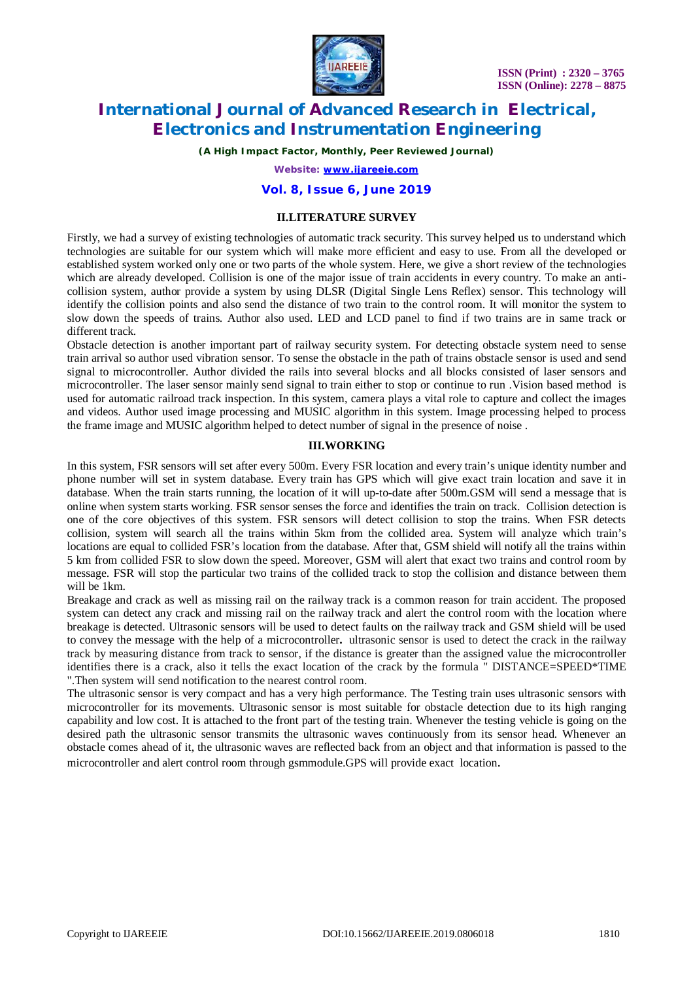

*(A High Impact Factor, Monthly, Peer Reviewed Journal)*

*Website: [www.ijareeie.com](http://www.ijareeie.com)*

#### **Vol. 8, Issue 6, June 2019**

#### **II.LITERATURE SURVEY**

Firstly, we had a survey of existing technologies of automatic track security. This survey helped us to understand which technologies are suitable for our system which will make more efficient and easy to use. From all the developed or established system worked only one or two parts of the whole system. Here, we give a short review of the technologies which are already developed. Collision is one of the major issue of train accidents in every country. To make an anticollision system, author provide a system by using DLSR (Digital Single Lens Reflex) sensor. This technology will identify the collision points and also send the distance of two train to the control room. It will monitor the system to slow down the speeds of trains. Author also used. LED and LCD panel to find if two trains are in same track or different track.

Obstacle detection is another important part of railway security system. For detecting obstacle system need to sense train arrival so author used vibration sensor. To sense the obstacle in the path of trains obstacle sensor is used and send signal to microcontroller. Author divided the rails into several blocks and all blocks consisted of laser sensors and microcontroller. The laser sensor mainly send signal to train either to stop or continue to run .Vision based method is used for automatic railroad track inspection. In this system, camera plays a vital role to capture and collect the images and videos. Author used image processing and MUSIC algorithm in this system. Image processing helped to process the frame image and MUSIC algorithm helped to detect number of signal in the presence of noise .

#### **III.WORKING**

In this system, FSR sensors will set after every 500m. Every FSR location and every train's unique identity number and phone number will set in system database. Every train has GPS which will give exact train location and save it in database. When the train starts running, the location of it will up-to-date after 500m.GSM will send a message that is online when system starts working. FSR sensor senses the force and identifies the train on track. Collision detection is one of the core objectives of this system. FSR sensors will detect collision to stop the trains. When FSR detects collision, system will search all the trains within 5km from the collided area. System will analyze which train's locations are equal to collided FSR's location from the database. After that, GSM shield will notify all the trains within 5 km from collided FSR to slow down the speed. Moreover, GSM will alert that exact two trains and control room by message. FSR will stop the particular two trains of the collided track to stop the collision and distance between them will be 1km.

Breakage and crack as well as missing rail on the railway track is a common reason for train accident. The proposed system can detect any crack and missing rail on the railway track and alert the control room with the location where breakage is detected. Ultrasonic sensors will be used to detect faults on the railway track and GSM shield will be used to convey the message with the help of a microcontroller**.** ultrasonic sensor is used to detect the crack in the railway track by measuring distance from track to sensor, if the distance is greater than the assigned value the microcontroller identifies there is a crack, also it tells the exact location of the crack by the formula " DISTANCE=SPEED\*TIME ".Then system will send notification to the nearest control room.

The ultrasonic sensor is very compact and has a very high performance. The Testing train uses ultrasonic sensors with microcontroller for its movements. Ultrasonic sensor is most suitable for obstacle detection due to its high ranging capability and low cost. It is attached to the front part of the testing train. Whenever the testing vehicle is going on the desired path the ultrasonic sensor transmits the ultrasonic waves continuously from its sensor head. Whenever an obstacle comes ahead of it, the ultrasonic waves are reflected back from an object and that information is passed to the microcontroller and alert control room through gsmmodule.GPS will provide exact location.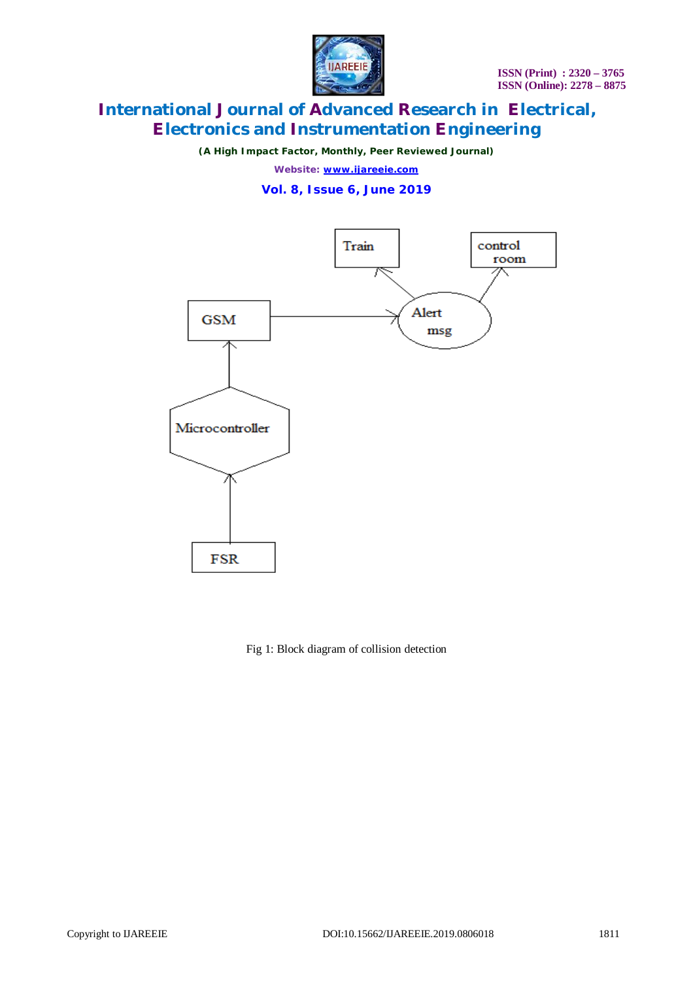

*(A High Impact Factor, Monthly, Peer Reviewed Journal)*

*Website: [www.ijareeie.com](http://www.ijareeie.com)*

**Vol. 8, Issue 6, June 2019**



Fig 1: Block diagram of collision detection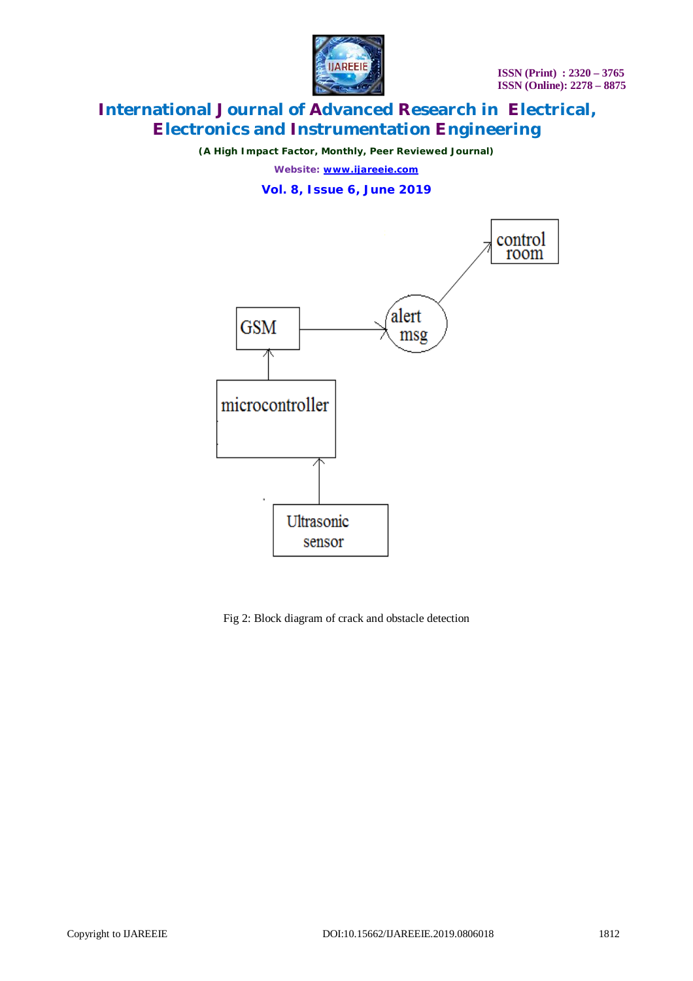

*(A High Impact Factor, Monthly, Peer Reviewed Journal)*

*Website: [www.ijareeie.com](http://www.ijareeie.com)*

**Vol. 8, Issue 6, June 2019**



Fig 2: Block diagram of crack and obstacle detection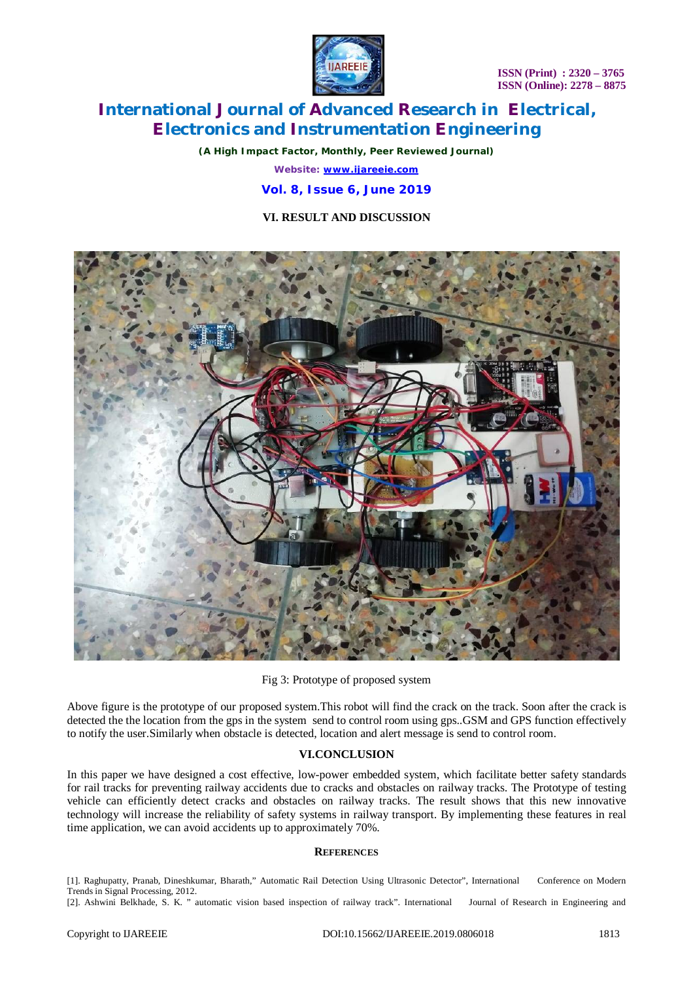**ISSN (Print) : 2320 – 3765 ISSN (Online): 2278 – 8875**



### **International Journal of Advanced Research in Electrical, Electronics and Instrumentation Engineering**

*(A High Impact Factor, Monthly, Peer Reviewed Journal) Website: [www.ijareeie.com](http://www.ijareeie.com)*

**Vol. 8, Issue 6, June 2019**

### **VI. RESULT AND DISCUSSION**



| Fig 3: Prototype of proposed system |  |
|-------------------------------------|--|
|-------------------------------------|--|

Above figure is the prototype of our proposed system.This robot will find the crack on the track. Soon after the crack is detected the the location from the gps in the system send to control room using gps..GSM and GPS function effectively to notify the user.Similarly when obstacle is detected, location and alert message is send to control room.

### **VI.CONCLUSION**

In this paper we have designed a cost effective, low-power embedded system, which facilitate better safety standards for rail tracks for preventing railway accidents due to cracks and obstacles on railway tracks. The Prototype of testing vehicle can efficiently detect cracks and obstacles on railway tracks. The result shows that this new innovative technology will increase the reliability of safety systems in railway transport. By implementing these features in real time application, we can avoid accidents up to approximately 70%.

#### **REFERENCES**

[1]. Raghupatty, Pranab, Dineshkumar, Bharath," Automatic Rail Detection Using Ultrasonic Detector", International Conference on Modern Trends in Signal Processing, 2012.

[2]. Ashwini Belkhade, S. K. " automatic vision based inspection of railway track". International Journal of Research in Engineering and